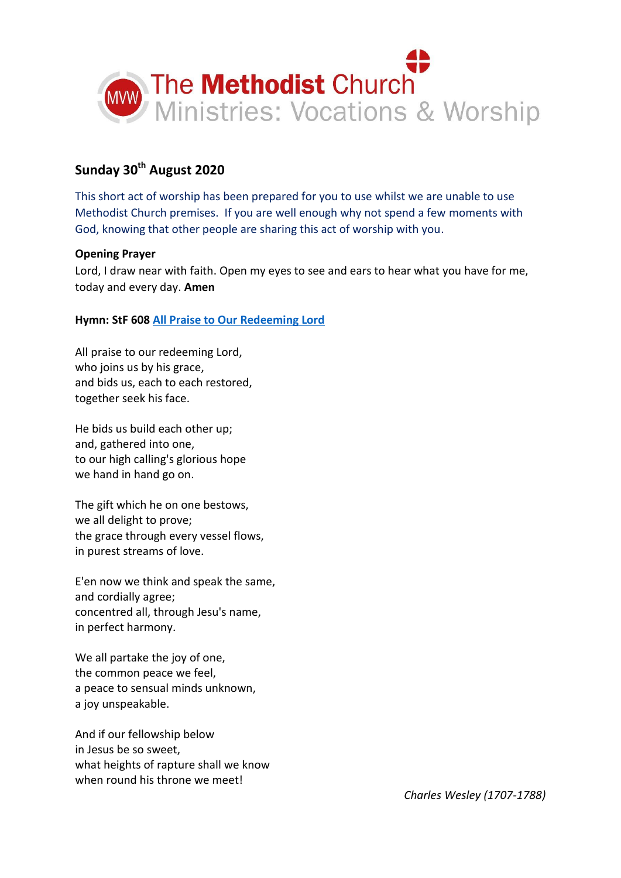

# **Sunday 30th August 2020**

This short act of worship has been prepared for you to use whilst we are unable to use Methodist Church premises. If you are well enough why not spend a few moments with God, knowing that other people are sharing this act of worship with you.

## **Opening Prayer**

Lord, I draw near with faith. Open my eyes to see and ears to hear what you have for me, today and every day. **Amen**

# **Hymn: StF 608 [All Praise to Our Redeeming Lord](https://www.youtube.com/watch?v=bhE-MoyghuI)**

All praise to our redeeming Lord, who joins us by his grace, and bids us, each to each restored, together seek his face.

He bids us build each other up; and, gathered into one, to our high calling's glorious hope we hand in hand go on.

The gift which he on one bestows, we all delight to prove; the grace through every vessel flows, in purest streams of love.

E'en now we think and speak the same, and cordially agree; concentred all, through Jesu's name, in perfect harmony.

We all partake the joy of one, the common peace we feel, a peace to sensual minds unknown, a joy unspeakable.

And if our fellowship below in Jesus be so sweet, what heights of rapture shall we know when round his throne we meet!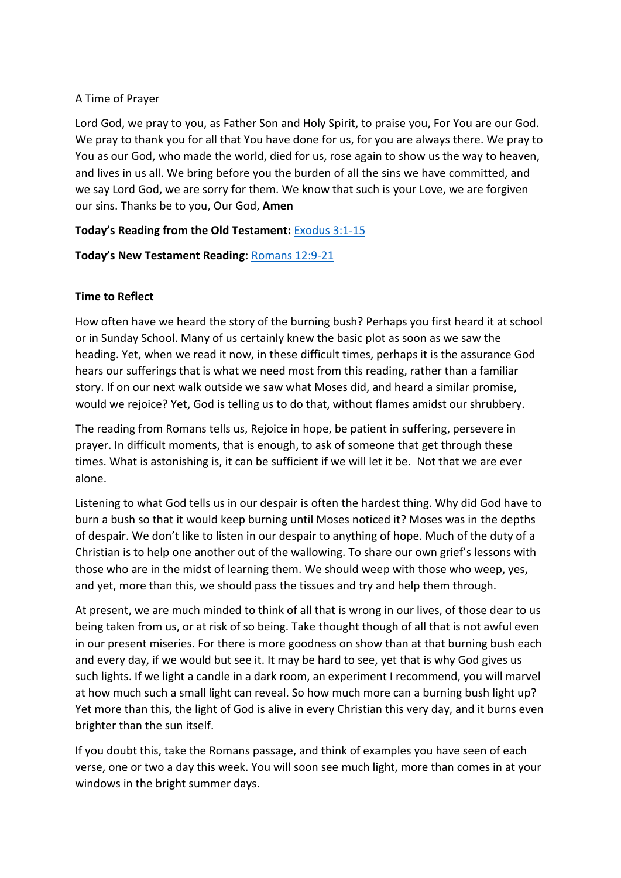## A Time of Prayer

Lord God, we pray to you, as Father Son and Holy Spirit, to praise you, For You are our God. We pray to thank you for all that You have done for us, for you are always there. We pray to You as our God, who made the world, died for us, rose again to show us the way to heaven, and lives in us all. We bring before you the burden of all the sins we have committed, and we say Lord God, we are sorry for them. We know that such is your Love, we are forgiven our sins. Thanks be to you, Our God, **Amen**

# **Today's Reading from the Old Testament:** [Exodus 3:1-15](https://www.biblegateway.com/passage/?search=Exodus+3%3A1-15&version=NIV)

# **Today's New Testament Reading:** [Romans 12:9-21](https://www.biblegateway.com/passage/?search=Romans+12%3A9-21&version=NIV)

## **Time to Reflect**

How often have we heard the story of the burning bush? Perhaps you first heard it at school or in Sunday School. Many of us certainly knew the basic plot as soon as we saw the heading. Yet, when we read it now, in these difficult times, perhaps it is the assurance God hears our sufferings that is what we need most from this reading, rather than a familiar story. If on our next walk outside we saw what Moses did, and heard a similar promise, would we rejoice? Yet, God is telling us to do that, without flames amidst our shrubbery.

The reading from Romans tells us, Rejoice in hope, be patient in suffering, persevere in prayer. In difficult moments, that is enough, to ask of someone that get through these times. What is astonishing is, it can be sufficient if we will let it be. Not that we are ever alone.

Listening to what God tells us in our despair is often the hardest thing. Why did God have to burn a bush so that it would keep burning until Moses noticed it? Moses was in the depths of despair. We don't like to listen in our despair to anything of hope. Much of the duty of a Christian is to help one another out of the wallowing. To share our own grief's lessons with those who are in the midst of learning them. We should weep with those who weep, yes, and yet, more than this, we should pass the tissues and try and help them through.

At present, we are much minded to think of all that is wrong in our lives, of those dear to us being taken from us, or at risk of so being. Take thought though of all that is not awful even in our present miseries. For there is more goodness on show than at that burning bush each and every day, if we would but see it. It may be hard to see, yet that is why God gives us such lights. If we light a candle in a dark room, an experiment I recommend, you will marvel at how much such a small light can reveal. So how much more can a burning bush light up? Yet more than this, the light of God is alive in every Christian this very day, and it burns even brighter than the sun itself.

If you doubt this, take the Romans passage, and think of examples you have seen of each verse, one or two a day this week. You will soon see much light, more than comes in at your windows in the bright summer days.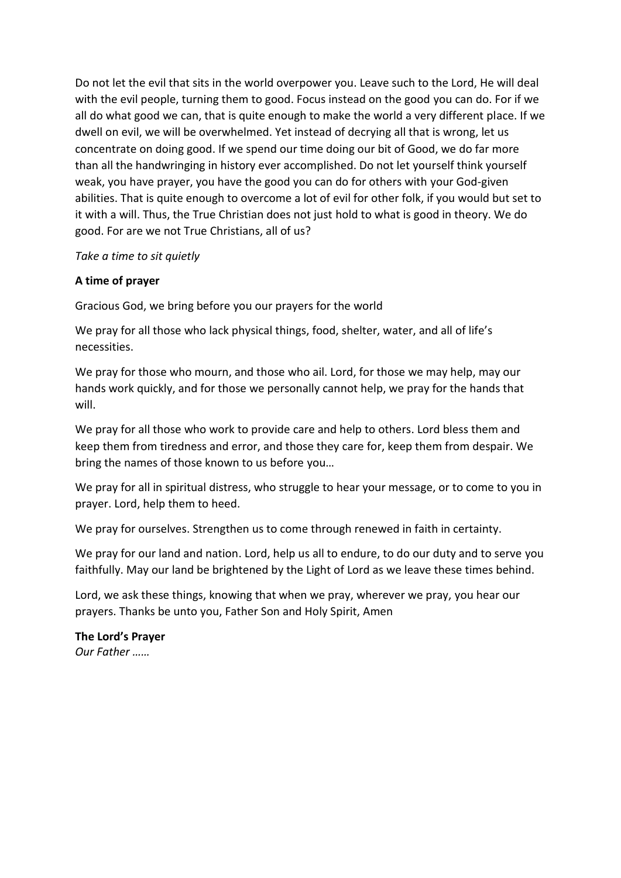Do not let the evil that sits in the world overpower you. Leave such to the Lord, He will deal with the evil people, turning them to good. Focus instead on the good you can do. For if we all do what good we can, that is quite enough to make the world a very different place. If we dwell on evil, we will be overwhelmed. Yet instead of decrying all that is wrong, let us concentrate on doing good. If we spend our time doing our bit of Good, we do far more than all the handwringing in history ever accomplished. Do not let yourself think yourself weak, you have prayer, you have the good you can do for others with your God-given abilities. That is quite enough to overcome a lot of evil for other folk, if you would but set to it with a will. Thus, the True Christian does not just hold to what is good in theory. We do good. For are we not True Christians, all of us?

#### *Take a time to sit quietly*

## **A time of prayer**

Gracious God, we bring before you our prayers for the world

We pray for all those who lack physical things, food, shelter, water, and all of life's necessities.

We pray for those who mourn, and those who ail. Lord, for those we may help, may our hands work quickly, and for those we personally cannot help, we pray for the hands that will.

We pray for all those who work to provide care and help to others. Lord bless them and keep them from tiredness and error, and those they care for, keep them from despair. We bring the names of those known to us before you…

We pray for all in spiritual distress, who struggle to hear your message, or to come to you in prayer. Lord, help them to heed.

We pray for ourselves. Strengthen us to come through renewed in faith in certainty.

We pray for our land and nation. Lord, help us all to endure, to do our duty and to serve you faithfully. May our land be brightened by the Light of Lord as we leave these times behind.

Lord, we ask these things, knowing that when we pray, wherever we pray, you hear our prayers. Thanks be unto you, Father Son and Holy Spirit, Amen

**The Lord's Prayer** *Our Father ……*